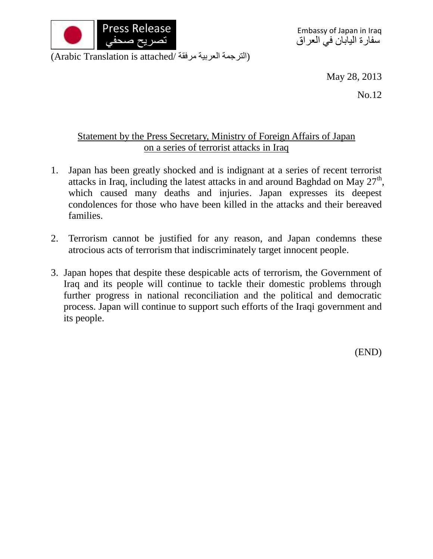

May 28, 2013

No.12

## Statement by the Press Secretary, Ministry of Foreign Affairs of Japan on a series of terrorist attacks in Iraq

- 1. Japan has been greatly shocked and is indignant at a series of recent terrorist attacks in Iraq, including the latest attacks in and around Baghdad on May  $27<sup>th</sup>$ , which caused many deaths and injuries. Japan expresses its deepest condolences for those who have been killed in the attacks and their bereaved families.
- 2. Terrorism cannot be justified for any reason, and Japan condemns these atrocious acts of terrorism that indiscriminately target innocent people.
- 3. Japan hopes that despite these despicable acts of terrorism, the Government of Iraq and its people will continue to tackle their domestic problems through further progress in national reconciliation and the political and democratic process. Japan will continue to support such efforts of the Iraqi government and its people.

(END)